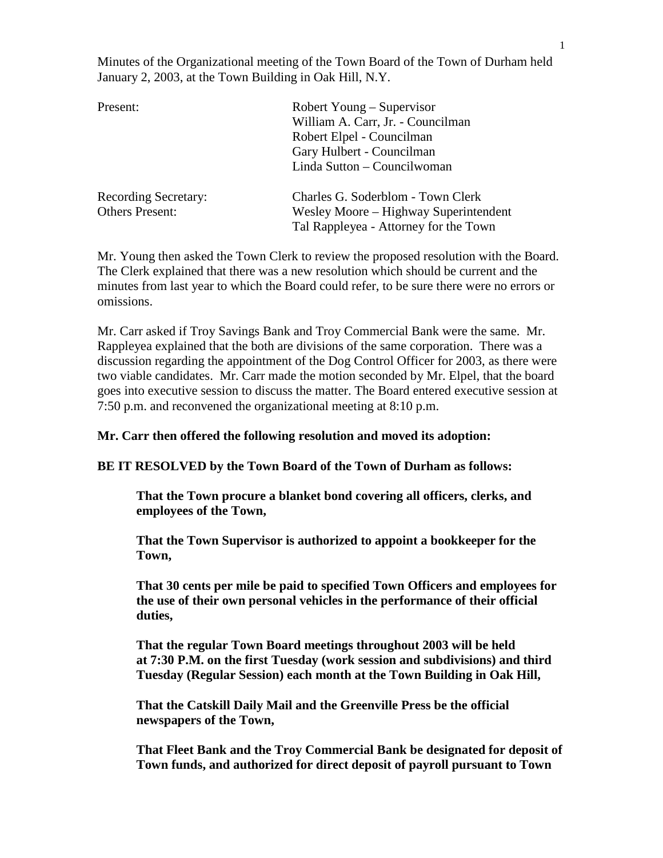Minutes of the Organizational meeting of the Town Board of the Town of Durham held January 2, 2003, at the Town Building in Oak Hill, N.Y.

| Present:                    | Robert Young – Supervisor             |  |  |
|-----------------------------|---------------------------------------|--|--|
|                             | William A. Carr, Jr. - Councilman     |  |  |
|                             | Robert Elpel - Councilman             |  |  |
|                             | Gary Hulbert - Councilman             |  |  |
|                             | Linda Sutton - Councilwoman           |  |  |
| <b>Recording Secretary:</b> | Charles G. Soderblom - Town Clerk     |  |  |
| <b>Others Present:</b>      | Wesley Moore – Highway Superintendent |  |  |
|                             | Tal Rappleyea - Attorney for the Town |  |  |

Mr. Young then asked the Town Clerk to review the proposed resolution with the Board. The Clerk explained that there was a new resolution which should be current and the minutes from last year to which the Board could refer, to be sure there were no errors or omissions.

Mr. Carr asked if Troy Savings Bank and Troy Commercial Bank were the same. Mr. Rappleyea explained that the both are divisions of the same corporation. There was a discussion regarding the appointment of the Dog Control Officer for 2003, as there were two viable candidates. Mr. Carr made the motion seconded by Mr. Elpel, that the board goes into executive session to discuss the matter. The Board entered executive session at 7:50 p.m. and reconvened the organizational meeting at 8:10 p.m.

**Mr. Carr then offered the following resolution and moved its adoption:**

**BE IT RESOLVED by the Town Board of the Town of Durham as follows:**

**That the Town procure a blanket bond covering all officers, clerks, and employees of the Town,**

**That the Town Supervisor is authorized to appoint a bookkeeper for the Town,**

**That 30 cents per mile be paid to specified Town Officers and employees for the use of their own personal vehicles in the performance of their official duties,**

**That the regular Town Board meetings throughout 2003 will be held at 7:30 P.M. on the first Tuesday (work session and subdivisions) and third Tuesday (Regular Session) each month at the Town Building in Oak Hill,**

**That the Catskill Daily Mail and the Greenville Press be the official newspapers of the Town,**

**That Fleet Bank and the Troy Commercial Bank be designated for deposit of Town funds, and authorized for direct deposit of payroll pursuant to Town**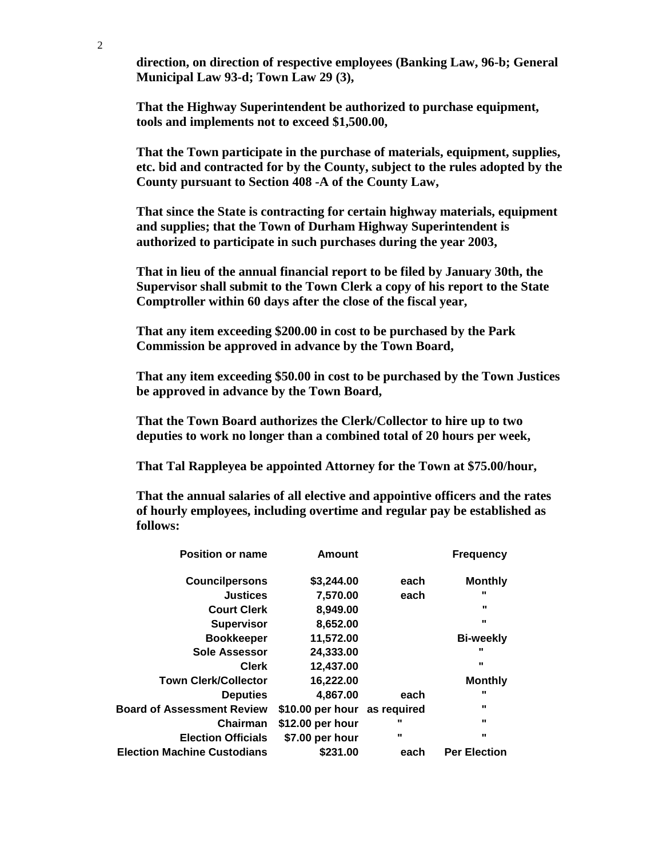**direction, on direction of respective employees (Banking Law, 96-b; General Municipal Law 93-d; Town Law 29 (3),**

**That the Highway Superintendent be authorized to purchase equipment, tools and implements not to exceed \$1,500.00,**

**That the Town participate in the purchase of materials, equipment, supplies, etc. bid and contracted for by the County, subject to the rules adopted by the County pursuant to Section 408 -A of the County Law,**

**That since the State is contracting for certain highway materials, equipment and supplies; that the Town of Durham Highway Superintendent is authorized to participate in such purchases during the year 2003,**

**That in lieu of the annual financial report to be filed by January 30th, the Supervisor shall submit to the Town Clerk a copy of his report to the State Comptroller within 60 days after the close of the fiscal year,**

**That any item exceeding \$200.00 in cost to be purchased by the Park Commission be approved in advance by the Town Board,**

**That any item exceeding \$50.00 in cost to be purchased by the Town Justices be approved in advance by the Town Board,**

**That the Town Board authorizes the Clerk/Collector to hire up to two deputies to work no longer than a combined total of 20 hours per week,**

**That Tal Rappleyea be appointed Attorney for the Town at \$75.00/hour,**

**That the annual salaries of all elective and appointive officers and the rates of hourly employees, including overtime and regular pay be established as follows:** 

| <b>Position or name</b>            | <b>Amount</b>                |                | <b>Frequency</b>    |
|------------------------------------|------------------------------|----------------|---------------------|
| <b>Councilpersons</b>              | \$3,244.00                   | each           | <b>Monthly</b>      |
| <b>Justices</b>                    | 7,570.00                     | each           | $\mathbf{u}$        |
| <b>Court Clerk</b>                 | 8,949.00                     |                |                     |
| <b>Supervisor</b>                  | 8,652.00                     |                | $\mathbf{u}$        |
| <b>Bookkeeper</b>                  | 11,572.00                    |                | <b>Bi-weekly</b>    |
| <b>Sole Assessor</b>               | 24,333.00                    |                | $\mathbf{u}$        |
| <b>Clerk</b>                       | 12,437.00                    |                | $\mathbf{u}$        |
| <b>Town Clerk/Collector</b>        | 16,222.00                    |                | <b>Monthly</b>      |
| <b>Deputies</b>                    | 4.867.00                     | each           |                     |
| <b>Board of Assessment Review</b>  | \$10.00 per hour as required |                | $\mathbf{u}$        |
| Chairman                           | \$12.00 per hour             |                | $\mathbf{u}$        |
| <b>Election Officials</b>          | \$7.00 per hour              | $\blacksquare$ | $\mathbf{u}$        |
| <b>Election Machine Custodians</b> | \$231.00                     | each           | <b>Per Election</b> |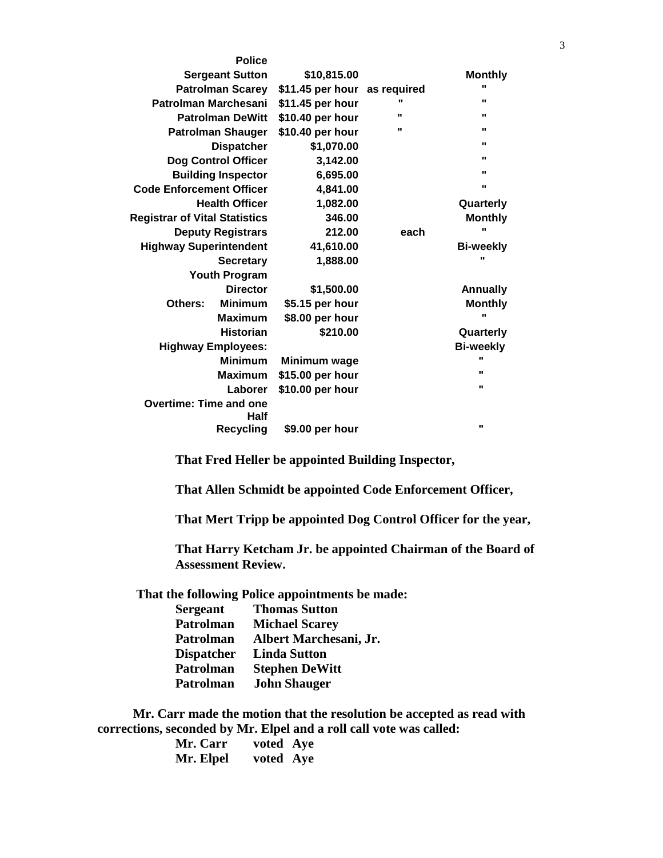|                                      | <b>Police</b>    |                              |              |                  |
|--------------------------------------|------------------|------------------------------|--------------|------------------|
| <b>Sergeant Sutton</b>               |                  | \$10,815.00                  |              | <b>Monthly</b>   |
| <b>Patrolman Scarey</b>              |                  | \$11.45 per hour as required |              |                  |
| Patrolman Marchesani                 |                  | \$11.45 per hour             | $\mathbf{u}$ |                  |
| <b>Patrolman DeWitt</b>              |                  | \$10.40 per hour             | $\mathbf{u}$ | $\mathbf{u}$     |
| <b>Patrolman Shauger</b>             |                  | \$10.40 per hour             | $\mathbf{u}$ | $\mathbf{u}$     |
| <b>Dispatcher</b>                    |                  | \$1,070.00                   |              | $\mathbf{u}$     |
| <b>Dog Control Officer</b>           |                  | 3,142.00                     |              |                  |
| <b>Building Inspector</b>            |                  | 6,695.00                     |              | $\mathbf{u}$     |
| <b>Code Enforcement Officer</b>      |                  | 4,841.00                     |              | $\mathbf{u}$     |
| <b>Health Officer</b>                |                  | 1,082.00                     |              | Quarterly        |
| <b>Registrar of Vital Statistics</b> |                  | 346.00                       |              | <b>Monthly</b>   |
| <b>Deputy Registrars</b>             |                  | 212.00                       | each         |                  |
| <b>Highway Superintendent</b>        |                  | 41,610.00                    |              | <b>Bi-weekly</b> |
|                                      | <b>Secretary</b> | 1,888.00                     |              | $\mathbf{u}$     |
| <b>Youth Program</b>                 |                  |                              |              |                  |
|                                      | <b>Director</b>  | \$1,500.00                   |              | <b>Annually</b>  |
| Others:                              | <b>Minimum</b>   | \$5.15 per hour              |              | <b>Monthly</b>   |
|                                      | <b>Maximum</b>   | \$8.00 per hour              |              | $\mathbf{u}$     |
|                                      | <b>Historian</b> | \$210.00                     |              | Quarterly        |
| <b>Highway Employees:</b>            |                  |                              |              | <b>Bi-weekly</b> |
|                                      | <b>Minimum</b>   | Minimum wage                 |              | $\mathbf{u}$     |
|                                      | <b>Maximum</b>   | \$15.00 per hour             |              | $\mathbf{u}$     |
|                                      | Laborer          | \$10.00 per hour             |              | $\mathbf{u}$     |
| <b>Overtime: Time and one</b>        | Half             |                              |              |                  |
|                                      | <b>Recycling</b> | \$9.00 per hour              |              | $\mathbf{u}$     |

**That Fred Heller be appointed Building Inspector,**

**That Allen Schmidt be appointed Code Enforcement Officer,**

**That Mert Tripp be appointed Dog Control Officer for the year,**

**That Harry Ketcham Jr. be appointed Chairman of the Board of Assessment Review.**

**That the following Police appointments be made:**

| <b>Sergeant</b>   | <b>Thomas Sutton</b>   |
|-------------------|------------------------|
| <b>Patrolman</b>  | <b>Michael Scarey</b>  |
| <b>Patrolman</b>  | Albert Marchesani, Jr. |
| <b>Dispatcher</b> | <b>Linda Sutton</b>    |
| Patrolman         | <b>Stephen DeWitt</b>  |
| <b>Patrolman</b>  | <b>John Shauger</b>    |
|                   |                        |

 **Mr. Carr made the motion that the resolution be accepted as read with corrections, seconded by Mr. Elpel and a roll call vote was called:** 

| Mr. Carr  | voted Aye |  |
|-----------|-----------|--|
| Mr. Elpel | voted Aye |  |